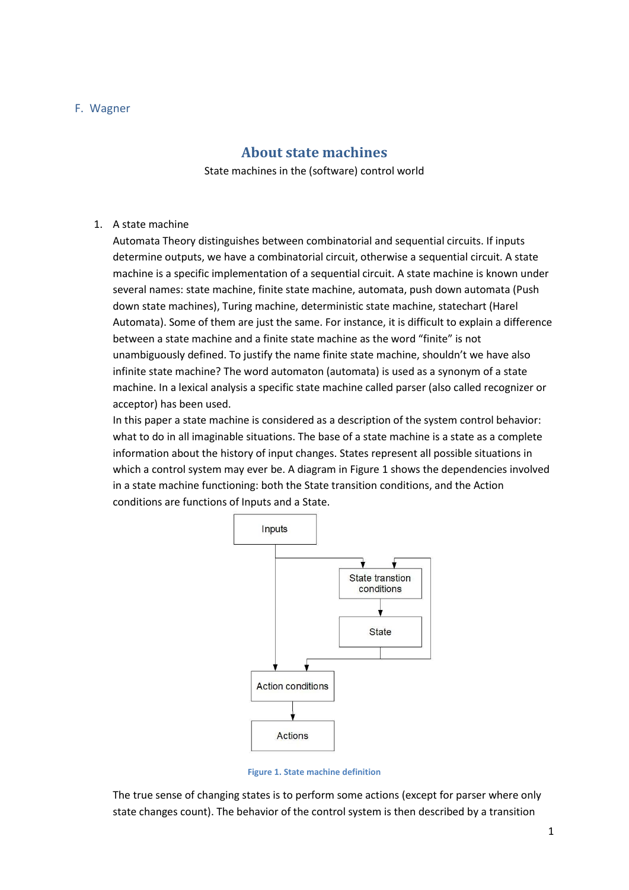#### F. Wagner

## **About state machines**

State machines in the (software) control world

### 1. A state machine

Automata Theory distinguishes between combinatorial and sequential circuits. If inputs determine outputs, we have a combinatorial circuit, otherwise a sequential circuit. A state machine is a specific implementation of a sequential circuit. A state machine is known under several names: state machine, finite state machine, automata, push down automata (Push down state machines), Turing machine, deterministic state machine, statechart (Harel Automata). Some of them are just the same. For instance, it is difficult to explain a difference between a state machine and a finite state machine as the word "finite" is not unambiguously defined. To justify the name finite state machine, shouldn't we have also infinite state machine? The word automaton (automata) is used as a synonym of a state machine. In a lexical analysis a specific state machine called parser (also called recognizer or acceptor) has been used.

In this paper a state machine is considered as a description of the system control behavior: what to do in all imaginable situations. The base of a state machine is a state as a complete information about the history of input changes. States represent all possible situations in which a control system may ever be. A diagram i[n Figure 1](#page-0-0) shows the dependencies involved in a state machine functioning: both the State transition conditions, and the Action conditions are functions of Inputs and a State.



**Figure 1. State machine definition**

<span id="page-0-0"></span>The true sense of changing states is to perform some actions (except for parser where only state changes count). The behavior of the control system is then described by a transition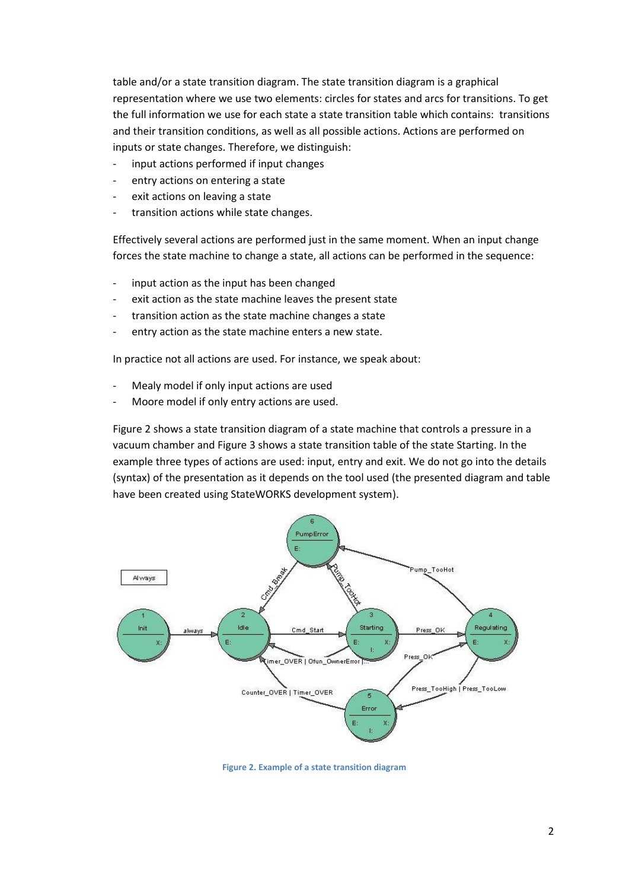table and/or a state transition diagram. The state transition diagram is a graphical representation where we use two elements: circles for states and arcs for transitions. To get the full information we use for each state a state transition table which contains: transitions and their transition conditions, as well as all possible actions. Actions are performed on inputs or state changes. Therefore, we distinguish:

- input actions performed if input changes
- entry actions on entering a state
- exit actions on leaving a state
- transition actions while state changes.

Effectively several actions are performed just in the same moment. When an input change forces the state machine to change a state, all actions can be performed in the sequence:

- input action as the input has been changed
- exit action as the state machine leaves the present state
- transition action as the state machine changes a state
- entry action as the state machine enters a new state.

In practice not all actions are used. For instance, we speak about:

- Mealy model if only input actions are used
- Moore model if only entry actions are used.

[Figure 2](#page-1-0) shows a state transition diagram of a state machine that controls a pressure in a vacuum chamber and [Figure 3](#page-2-0) shows a state transition table of the state Starting. In the example three types of actions are used: input, entry and exit. We do not go into the details (syntax) of the presentation as it depends on the tool used (the presented diagram and table have been created using StateWORKS development system).



<span id="page-1-0"></span>**Figure 2. Example of a state transition diagram**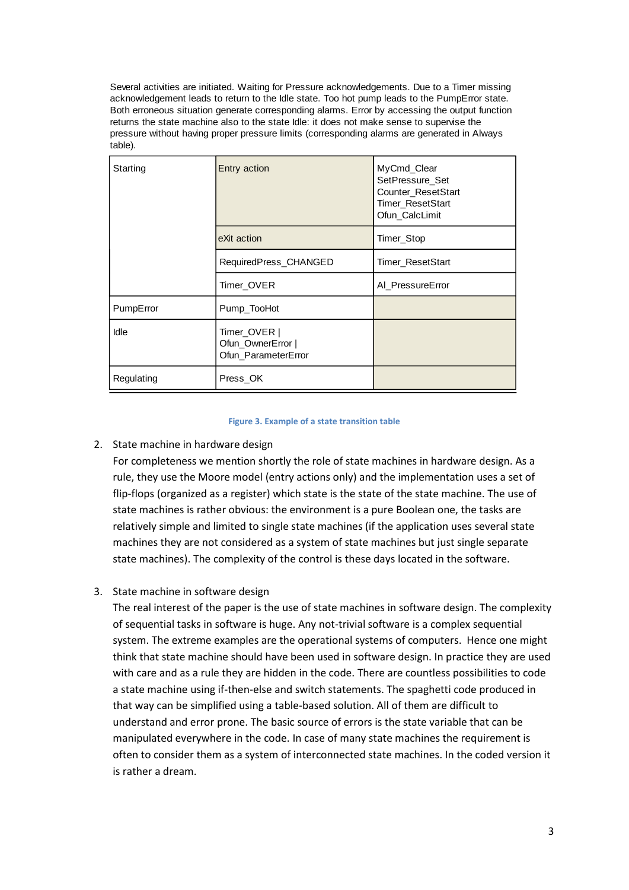Several activities are initiated. Waiting for Pressure acknowledgements. Due to a Timer missing acknowledgement leads to return to the Idle state. Too hot pump leads to the PumpError state. Both erroneous situation generate corresponding alarms. Error by accessing the output function returns the state machine also to the state Idle: it does not make sense to supervise the pressure without having proper pressure limits (corresponding alarms are generated in Always table).

| Starting    | Entry action                                             | MyCmd_Clear<br>SetPressure Set<br><b>Counter ResetStart</b><br><b>Timer ResetStart</b><br>Ofun_CalcLimit |
|-------------|----------------------------------------------------------|----------------------------------------------------------------------------------------------------------|
|             | eXit action                                              | Timer_Stop                                                                                               |
|             | RequiredPress_CHANGED                                    | Timer_ResetStart                                                                                         |
|             | Timer OVER                                               | Al PressureError                                                                                         |
| PumpError   | Pump_TooHot                                              |                                                                                                          |
| <b>Idle</b> | Timer_OVER  <br>Ofun OwnerError  <br>Ofun ParameterError |                                                                                                          |
| Regulating  | Press_OK                                                 |                                                                                                          |

#### **Figure 3. Example of a state transition table**

#### <span id="page-2-0"></span>2. State machine in hardware design

For completeness we mention shortly the role of state machines in hardware design. As a rule, they use the Moore model (entry actions only) and the implementation uses a set of flip-flops (organized as a register) which state is the state of the state machine. The use of state machines is rather obvious: the environment is a pure Boolean one, the tasks are relatively simple and limited to single state machines (if the application uses several state machines they are not considered as a system of state machines but just single separate state machines). The complexity of the control is these days located in the software.

## 3. State machine in software design

The real interest of the paper is the use of state machines in software design. The complexity of sequential tasks in software is huge. Any not-trivial software is a complex sequential system. The extreme examples are the operational systems of computers. Hence one might think that state machine should have been used in software design. In practice they are used with care and as a rule they are hidden in the code. There are countless possibilities to code a state machine using if-then-else and switch statements. The spaghetti code produced in that way can be simplified using a table-based solution. All of them are difficult to understand and error prone. The basic source of errors is the state variable that can be manipulated everywhere in the code. In case of many state machines the requirement is often to consider them as a system of interconnected state machines. In the coded version it is rather a dream.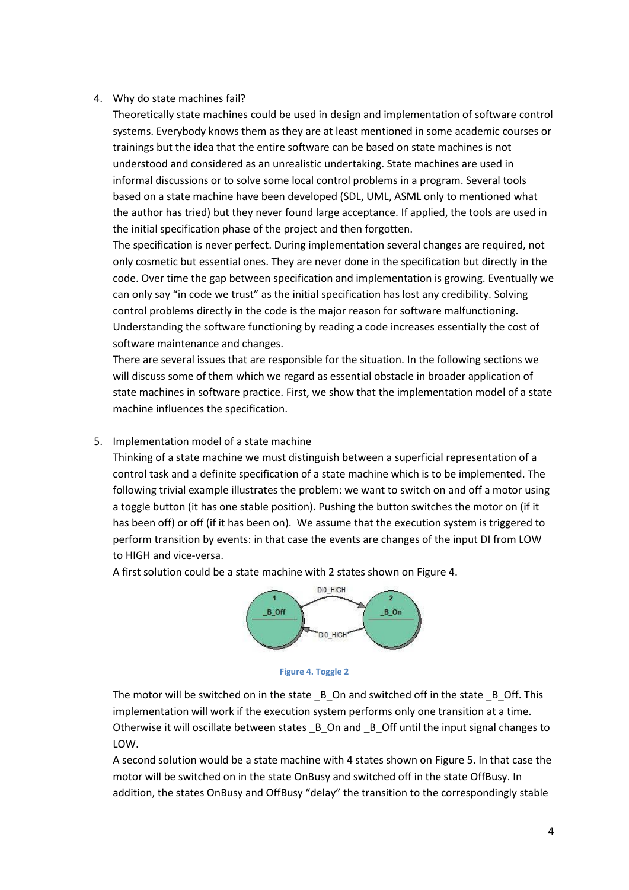### 4. Why do state machines fail?

Theoretically state machines could be used in design and implementation of software control systems. Everybody knows them as they are at least mentioned in some academic courses or trainings but the idea that the entire software can be based on state machines is not understood and considered as an unrealistic undertaking. State machines are used in informal discussions or to solve some local control problems in a program. Several tools based on a state machine have been developed (SDL, UML, ASML only to mentioned what the author has tried) but they never found large acceptance. If applied, the tools are used in the initial specification phase of the project and then forgotten.

The specification is never perfect. During implementation several changes are required, not only cosmetic but essential ones. They are never done in the specification but directly in the code. Over time the gap between specification and implementation is growing. Eventually we can only say "in code we trust" as the initial specification has lost any credibility. Solving control problems directly in the code is the major reason for software malfunctioning. Understanding the software functioning by reading a code increases essentially the cost of software maintenance and changes.

There are several issues that are responsible for the situation. In the following sections we will discuss some of them which we regard as essential obstacle in broader application of state machines in software practice. First, we show that the implementation model of a state machine influences the specification.

### 5. Implementation model of a state machine

Thinking of a state machine we must distinguish between a superficial representation of a control task and a definite specification of a state machine which is to be implemented. The following trivial example illustrates the problem: we want to switch on and off a motor using a toggle button (it has one stable position). Pushing the button switches the motor on (if it has been off) or off (if it has been on). We assume that the execution system is triggered to perform transition by events: in that case the events are changes of the input DI from LOW to HIGH and vice-versa.

A first solution could be a state machine with 2 states shown o[n Figure 4.](#page-3-0)





<span id="page-3-0"></span>The motor will be switched on in the state \_B\_On and switched off in the state \_B\_Off. This implementation will work if the execution system performs only one transition at a time. Otherwise it will oscillate between states  $\,$  B  $\,$  On and  $\,$  B  $\,$  Off until the input signal changes to LOW.

A second solution would be a state machine with 4 states shown o[n Figure 5.](#page-4-0) In that case the motor will be switched on in the state OnBusy and switched off in the state OffBusy. In addition, the states OnBusy and OffBusy "delay" the transition to the correspondingly stable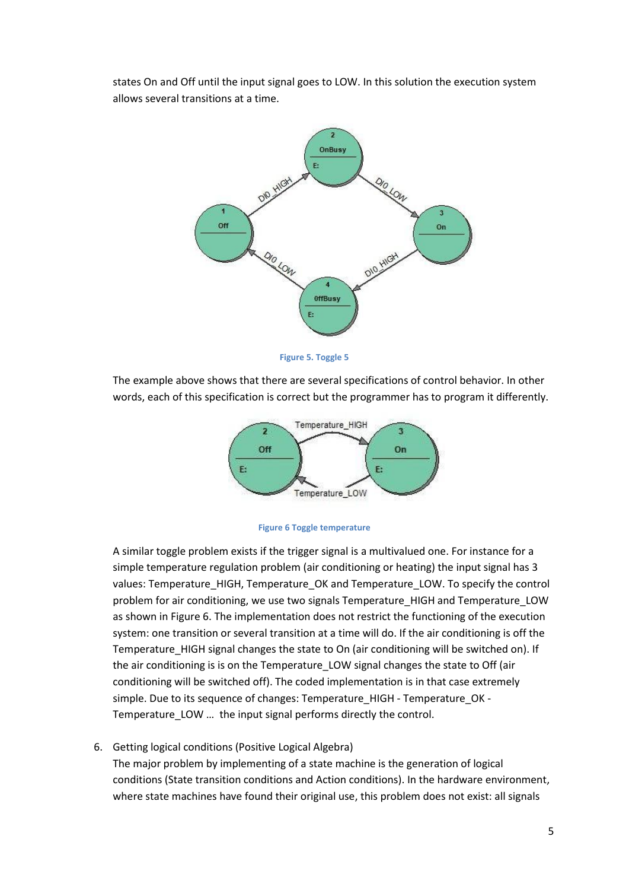states On and Off until the input signal goes to LOW. In this solution the execution system allows several transitions at a time.



**Figure 5. Toggle 5**

<span id="page-4-0"></span>The example above shows that there are several specifications of control behavior. In other words, each of this specification is correct but the programmer has to program it differently.





A similar toggle problem exists if the trigger signal is a multivalued one. For instance for a simple temperature regulation problem (air conditioning or heating) the input signal has 3 values: Temperature\_HIGH, Temperature\_OK and Temperature\_LOW. To specify the control problem for air conditioning, we use two signals Temperature\_HIGH and Temperature\_LOW as shown in Figure 6. The implementation does not restrict the functioning of the execution system: one transition or several transition at a time will do. If the air conditioning is off the Temperature\_HIGH signal changes the state to On (air conditioning will be switched on). If the air conditioning is is on the Temperature\_LOW signal changes the state to Off (air conditioning will be switched off). The coded implementation is in that case extremely simple. Due to its sequence of changes: Temperature\_HIGH - Temperature\_OK -Temperature LOW ... the input signal performs directly the control.

6. Getting logical conditions (Positive Logical Algebra)

The major problem by implementing of a state machine is the generation of logical conditions (State transition conditions and Action conditions). In the hardware environment, where state machines have found their original use, this problem does not exist: all signals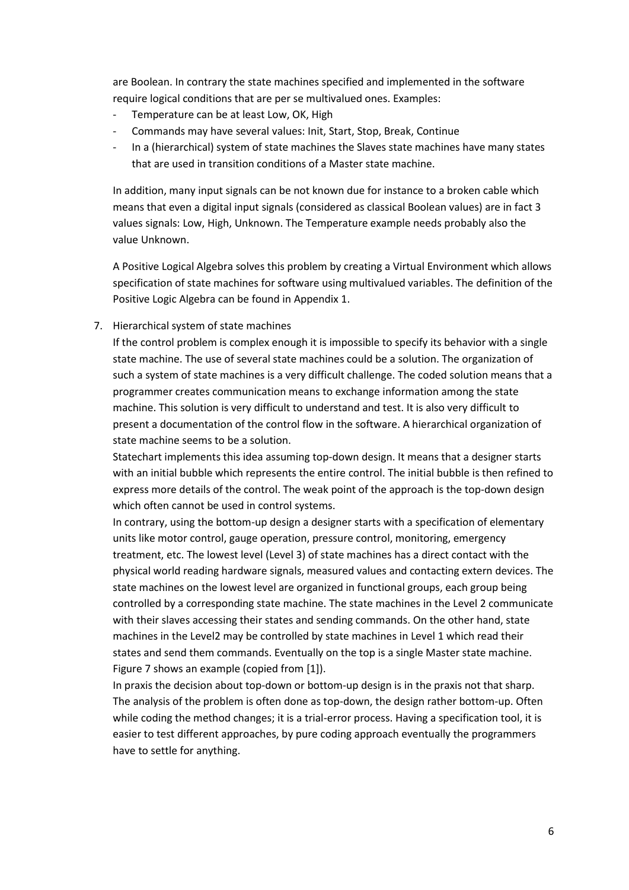are Boolean. In contrary the state machines specified and implemented in the software require logical conditions that are per se multivalued ones. Examples:

- Temperature can be at least Low, OK, High
- Commands may have several values: Init, Start, Stop, Break, Continue
- In a (hierarchical) system of state machines the Slaves state machines have many states that are used in transition conditions of a Master state machine.

In addition, many input signals can be not known due for instance to a broken cable which means that even a digital input signals (considered as classical Boolean values) are in fact 3 values signals: Low, High, Unknown. The Temperature example needs probably also the value Unknown.

A Positive Logical Algebra solves this problem by creating a Virtual Environment which allows specification of state machines for software using multivalued variables. The definition of the Positive Logic Algebra can be found in Appendix 1.

7. Hierarchical system of state machines

If the control problem is complex enough it is impossible to specify its behavior with a single state machine. The use of several state machines could be a solution. The organization of such a system of state machines is a very difficult challenge. The coded solution means that a programmer creates communication means to exchange information among the state machine. This solution is very difficult to understand and test. It is also very difficult to present a documentation of the control flow in the software. A hierarchical organization of state machine seems to be a solution.

Statechart implements this idea assuming top-down design. It means that a designer starts with an initial bubble which represents the entire control. The initial bubble is then refined to express more details of the control. The weak point of the approach is the top-down design which often cannot be used in control systems.

In contrary, using the bottom-up design a designer starts with a specification of elementary units like motor control, gauge operation, pressure control, monitoring, emergency treatment, etc. The lowest level (Level 3) of state machines has a direct contact with the physical world reading hardware signals, measured values and contacting extern devices. The state machines on the lowest level are organized in functional groups, each group being controlled by a corresponding state machine. The state machines in the Level 2 communicate with their slaves accessing their states and sending commands. On the other hand, state machines in the Level2 may be controlled by state machines in Level 1 which read their states and send them commands. Eventually on the top is a single Master state machine. [Figure 7](#page-6-0) shows an example (copied from [1]).

In praxis the decision about top-down or bottom-up design is in the praxis not that sharp. The analysis of the problem is often done as top-down, the design rather bottom-up. Often while coding the method changes; it is a trial-error process. Having a specification tool, it is easier to test different approaches, by pure coding approach eventually the programmers have to settle for anything.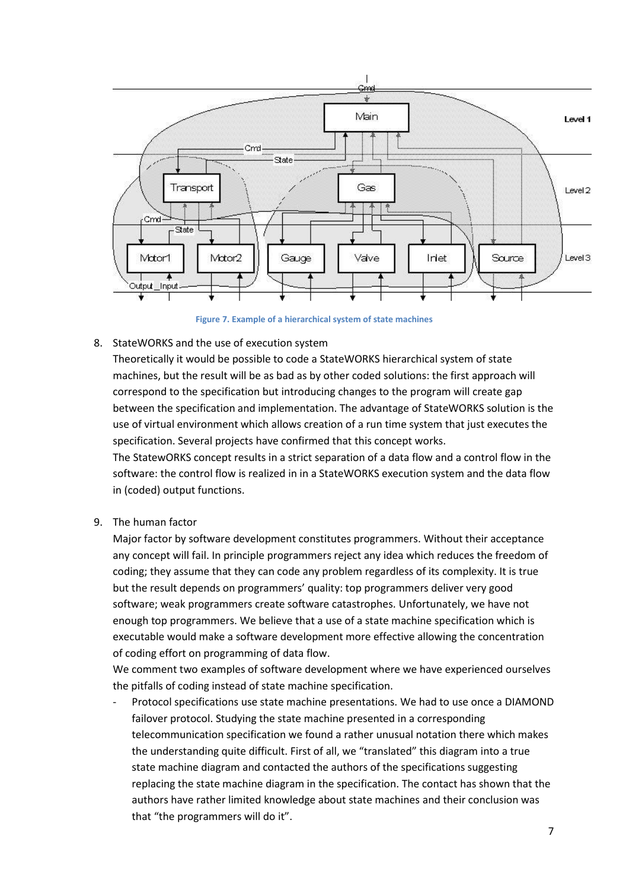

**Figure 7. Example of a hierarchical system of state machines**

<span id="page-6-0"></span>8. StateWORKS and the use of execution system

Theoretically it would be possible to code a StateWORKS hierarchical system of state machines, but the result will be as bad as by other coded solutions: the first approach will correspond to the specification but introducing changes to the program will create gap between the specification and implementation. The advantage of StateWORKS solution is the use of virtual environment which allows creation of a run time system that just executes the specification. Several projects have confirmed that this concept works.

The StatewORKS concept results in a strict separation of a data flow and a control flow in the software: the control flow is realized in in a StateWORKS execution system and the data flow in (coded) output functions.

9. The human factor

Major factor by software development constitutes programmers. Without their acceptance any concept will fail. In principle programmers reject any idea which reduces the freedom of coding; they assume that they can code any problem regardless of its complexity. It is true but the result depends on programmers' quality: top programmers deliver very good software; weak programmers create software catastrophes. Unfortunately, we have not enough top programmers. We believe that a use of a state machine specification which is executable would make a software development more effective allowing the concentration of coding effort on programming of data flow.

We comment two examples of software development where we have experienced ourselves the pitfalls of coding instead of state machine specification.

Protocol specifications use state machine presentations. We had to use once a DIAMOND failover protocol. Studying the state machine presented in a corresponding telecommunication specification we found a rather unusual notation there which makes the understanding quite difficult. First of all, we "translated" this diagram into a true state machine diagram and contacted the authors of the specifications suggesting replacing the state machine diagram in the specification. The contact has shown that the authors have rather limited knowledge about state machines and their conclusion was that "the programmers will do it".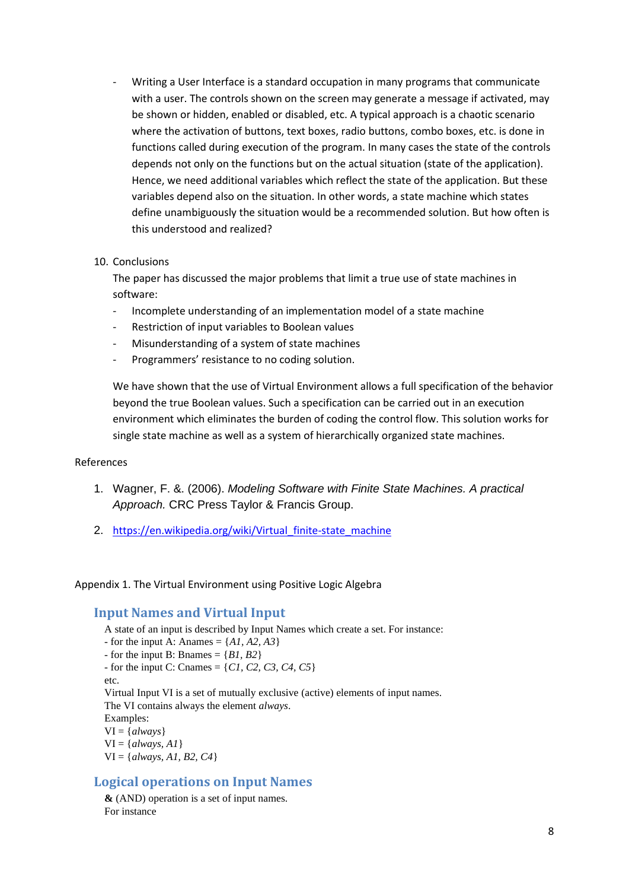Writing a User Interface is a standard occupation in many programs that communicate with a user. The controls shown on the screen may generate a message if activated, may be shown or hidden, enabled or disabled, etc. A typical approach is a chaotic scenario where the activation of buttons, text boxes, radio buttons, combo boxes, etc. is done in functions called during execution of the program. In many cases the state of the controls depends not only on the functions but on the actual situation (state of the application). Hence, we need additional variables which reflect the state of the application. But these variables depend also on the situation. In other words, a state machine which states define unambiguously the situation would be a recommended solution. But how often is this understood and realized?

#### 10. Conclusions

The paper has discussed the major problems that limit a true use of state machines in software:

- Incomplete understanding of an implementation model of a state machine
- Restriction of input variables to Boolean values
- Misunderstanding of a system of state machines
- Programmers' resistance to no coding solution.

We have shown that the use of Virtual Environment allows a full specification of the behavior beyond the true Boolean values. Such a specification can be carried out in an execution environment which eliminates the burden of coding the control flow. This solution works for single state machine as well as a system of hierarchically organized state machines.

#### References

- 1. Wagner, F. &. (2006). *Modeling Software with Finite State Machines. A practical Approach.* CRC Press Taylor & Francis Group.
- 2. [https://en.wikipedia.org/wiki/Virtual\\_finite-state\\_machine](https://en.wikipedia.org/wiki/Virtual_finite-state_machine)

Appendix 1. The Virtual Environment using Positive Logic Algebra

## **Input Names and Virtual Input**

A state of an input is described by Input Names which create a set. For instance: - for the input A: Anames =  $\{AI, A2, A3\}$ - for the input B: Bnames  $= \{B1, B2\}$  $-$  for the input C: Cnames  $= \{CI, C2, C3, C4, C5\}$ etc. Virtual Input VI is a set of mutually exclusive (active) elements of input names. The VI contains always the element *always*. Examples: VI = {*always*}  $VI = \{always, AI\}$ VI = {*always, A1, B2, C4*}

## **Logical operations on Input Names**

**&** (AND) operation is a set of input names. For instance